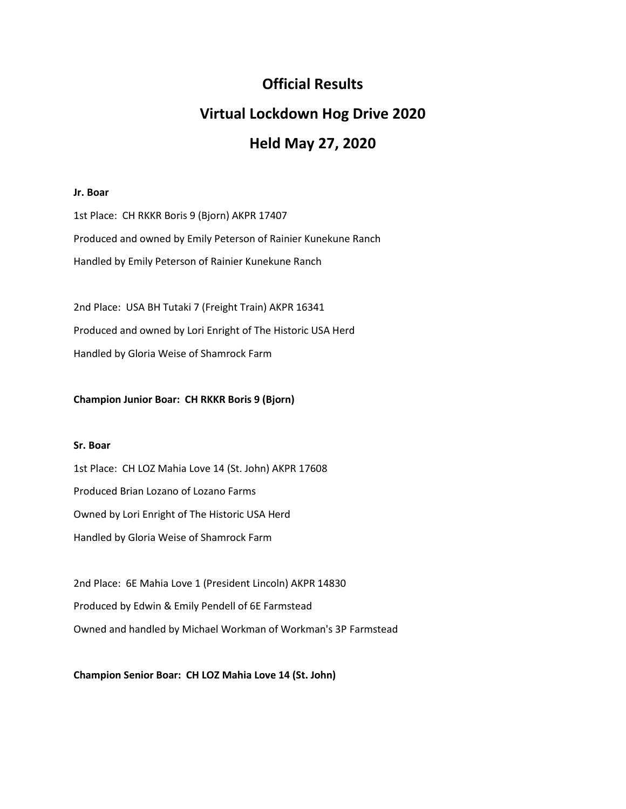## **Official Results**

# **Virtual Lockdown Hog Drive 2020**

## **Held May 27, 2020**

## **Jr. Boar**

1st Place: CH RKKR Boris 9 (Bjorn) AKPR 17407 Produced and owned by Emily Peterson of Rainier Kunekune Ranch Handled by Emily Peterson of Rainier Kunekune Ranch

2nd Place: USA BH Tutaki 7 (Freight Train) AKPR 16341 Produced and owned by Lori Enright of The Historic USA Herd Handled by Gloria Weise of Shamrock Farm

## **Champion Junior Boar: CH RKKR Boris 9 (Bjorn)**

#### **Sr. Boar**

1st Place: CH LOZ Mahia Love 14 (St. John) AKPR 17608 Produced Brian Lozano of Lozano Farms Owned by Lori Enright of The Historic USA Herd Handled by Gloria Weise of Shamrock Farm

2nd Place: 6E Mahia Love 1 (President Lincoln) AKPR 14830 Produced by Edwin & Emily Pendell of 6E Farmstead Owned and handled by Michael Workman of Workman's 3P Farmstead

**Champion Senior Boar: CH LOZ Mahia Love 14 (St. John)**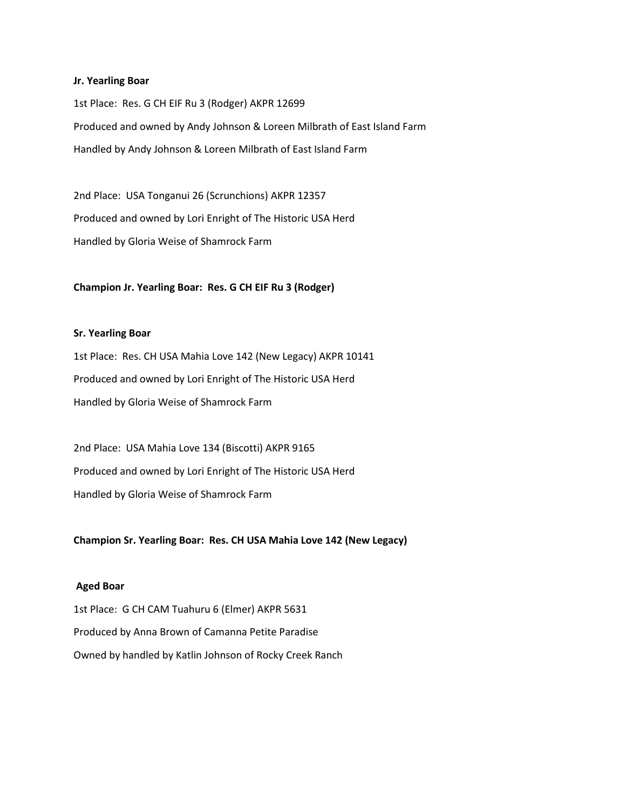#### **Jr. Yearling Boar**

1st Place: Res. G CH EIF Ru 3 (Rodger) AKPR 12699 Produced and owned by Andy Johnson & Loreen Milbrath of East Island Farm Handled by Andy Johnson & Loreen Milbrath of East Island Farm

2nd Place: USA Tonganui 26 (Scrunchions) AKPR 12357 Produced and owned by Lori Enright of The Historic USA Herd Handled by Gloria Weise of Shamrock Farm

## **Champion Jr. Yearling Boar: Res. G CH EIF Ru 3 (Rodger)**

#### **Sr. Yearling Boar**

1st Place: Res. CH USA Mahia Love 142 (New Legacy) AKPR 10141 Produced and owned by Lori Enright of The Historic USA Herd Handled by Gloria Weise of Shamrock Farm

2nd Place: USA Mahia Love 134 (Biscotti) AKPR 9165 Produced and owned by Lori Enright of The Historic USA Herd Handled by Gloria Weise of Shamrock Farm

**Champion Sr. Yearling Boar: Res. CH USA Mahia Love 142 (New Legacy)**

#### **Aged Boar**

1st Place: G CH CAM Tuahuru 6 (Elmer) AKPR 5631 Produced by Anna Brown of Camanna Petite Paradise Owned by handled by Katlin Johnson of Rocky Creek Ranch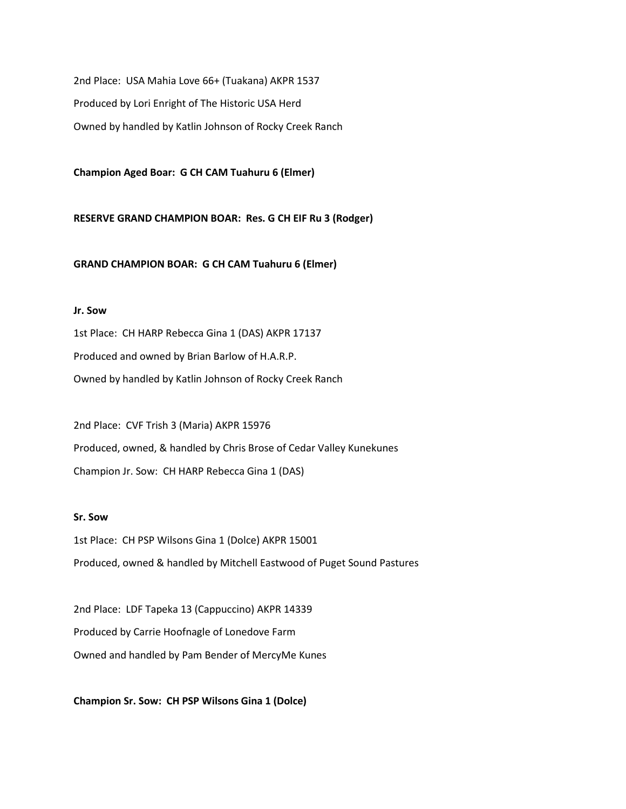2nd Place: USA Mahia Love 66+ (Tuakana) AKPR 1537 Produced by Lori Enright of The Historic USA Herd Owned by handled by Katlin Johnson of Rocky Creek Ranch

**Champion Aged Boar: G CH CAM Tuahuru 6 (Elmer)**

**RESERVE GRAND CHAMPION BOAR: Res. G CH EIF Ru 3 (Rodger)**

**GRAND CHAMPION BOAR: G CH CAM Tuahuru 6 (Elmer)**

## **Jr. Sow**

1st Place: CH HARP Rebecca Gina 1 (DAS) AKPR 17137 Produced and owned by Brian Barlow of H.A.R.P. Owned by handled by Katlin Johnson of Rocky Creek Ranch

2nd Place: CVF Trish 3 (Maria) AKPR 15976 Produced, owned, & handled by Chris Brose of Cedar Valley Kunekunes Champion Jr. Sow: CH HARP Rebecca Gina 1 (DAS)

## **Sr. Sow**

1st Place: CH PSP Wilsons Gina 1 (Dolce) AKPR 15001 Produced, owned & handled by Mitchell Eastwood of Puget Sound Pastures

2nd Place: LDF Tapeka 13 (Cappuccino) AKPR 14339 Produced by Carrie Hoofnagle of Lonedove Farm Owned and handled by Pam Bender of MercyMe Kunes

**Champion Sr. Sow: CH PSP Wilsons Gina 1 (Dolce)**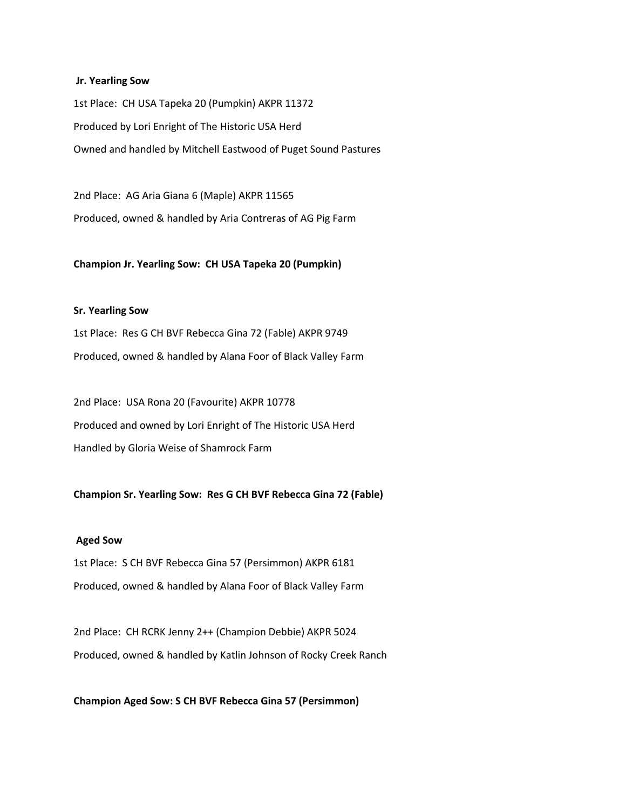#### **Jr. Yearling Sow**

1st Place: CH USA Tapeka 20 (Pumpkin) AKPR 11372 Produced by Lori Enright of The Historic USA Herd Owned and handled by Mitchell Eastwood of Puget Sound Pastures

2nd Place: AG Aria Giana 6 (Maple) AKPR 11565 Produced, owned & handled by Aria Contreras of AG Pig Farm

#### **Champion Jr. Yearling Sow: CH USA Tapeka 20 (Pumpkin)**

## **Sr. Yearling Sow**

1st Place: Res G CH BVF Rebecca Gina 72 (Fable) AKPR 9749 Produced, owned & handled by Alana Foor of Black Valley Farm

2nd Place: USA Rona 20 (Favourite) AKPR 10778 Produced and owned by Lori Enright of The Historic USA Herd Handled by Gloria Weise of Shamrock Farm

## **Champion Sr. Yearling Sow: Res G CH BVF Rebecca Gina 72 (Fable)**

#### **Aged Sow**

1st Place: S CH BVF Rebecca Gina 57 (Persimmon) AKPR 6181 Produced, owned & handled by Alana Foor of Black Valley Farm

2nd Place: CH RCRK Jenny 2++ (Champion Debbie) AKPR 5024 Produced, owned & handled by Katlin Johnson of Rocky Creek Ranch

**Champion Aged Sow: S CH BVF Rebecca Gina 57 (Persimmon)**